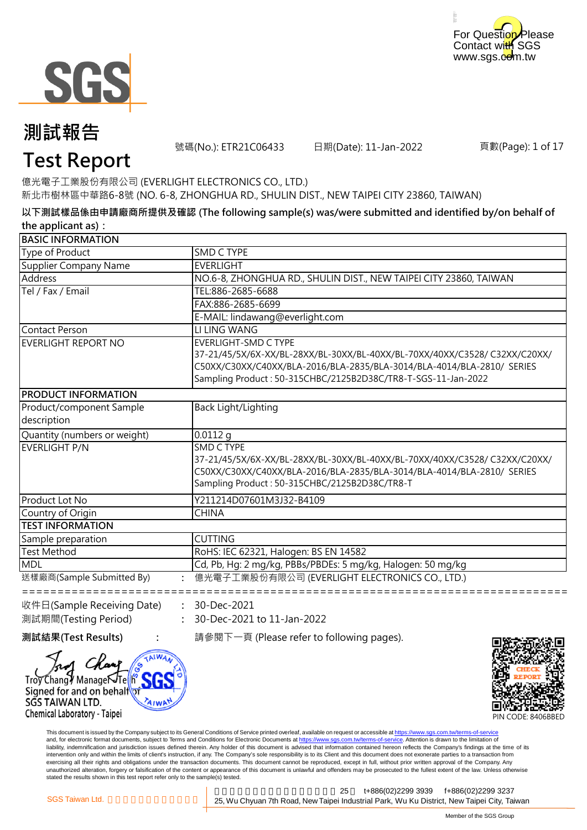



## **測試報告**

號碼(No.): ETR21C06433 日期(Date): 11-Jan-2022

頁數(Page): 1 of 17

### **Test Report**

億光電子工業股份有限公司 (EVERLIGHT ELECTRONICS CO., LTD.) 新北市樹林區中華路6-8號 (NO. 6-8, ZHONGHUA RD., SHULIN DIST., NEW TAIPEI CITY 23860, TAIWAN)

**以下測試樣品係由申請廠商所提供及確認 (The following sample(s) was/were submitted and identified by/on behalf of the applicant as):**

| <b>BASIC INFORMATION</b>     |                                                                            |
|------------------------------|----------------------------------------------------------------------------|
| Type of Product              | SMD C TYPE                                                                 |
| Supplier Company Name        | <b>EVERLIGHT</b>                                                           |
| Address                      | NO.6-8, ZHONGHUA RD., SHULIN DIST., NEW TAIPEI CITY 23860, TAIWAN          |
| Tel / Fax / Email            | TEL:886-2685-6688                                                          |
|                              | FAX:886-2685-6699                                                          |
|                              | E-MAIL: lindawang@everlight.com                                            |
| Contact Person               | LI LING WANG                                                               |
| EVERLIGHT REPORT NO          | <b>EVERLIGHT-SMD C TYPE</b>                                                |
|                              | 37-21/45/5X/6X-XX/BL-28XX/BL-30XX/BL-40XX/BL-70XX/40XX/C3528/ C32XX/C20XX/ |
|                              | C50XX/C30XX/C40XX/BLA-2016/BLA-2835/BLA-3014/BLA-4014/BLA-2810/ SERIES     |
|                              | Sampling Product: 50-315CHBC/2125B2D38C/TR8-T-SGS-11-Jan-2022              |
| <b>PRODUCT INFORMATION</b>   |                                                                            |
| Product/component Sample     | Back Light/Lighting                                                        |
| description                  |                                                                            |
| Quantity (numbers or weight) | $0.0112$ g                                                                 |
| EVERLIGHT P/N                | <b>SMD C TYPE</b>                                                          |
|                              | 37-21/45/5X/6X-XX/BL-28XX/BL-30XX/BL-40XX/BL-70XX/40XX/C3528/ C32XX/C20XX/ |
|                              | C50XX/C30XX/C40XX/BLA-2016/BLA-2835/BLA-3014/BLA-4014/BLA-2810/ SERIES     |
|                              | Sampling Product: 50-315CHBC/2125B2D38C/TR8-T                              |
| Product Lot No               | Y211214D07601M3J32-B4109                                                   |
| Country of Origin            | <b>CHINA</b>                                                               |
| <b>TEST INFORMATION</b>      |                                                                            |
| Sample preparation           | <b>CUTTING</b>                                                             |
| <b>Test Method</b>           | RoHS: IEC 62321, Halogen: BS EN 14582                                      |
| MDL                          | Cd, Pb, Hg: 2 mg/kg, PBBs/PBDEs: 5 mg/kg, Halogen: 50 mg/kg                |
| 送樣廠商(Sample Submitted By)    | 億光電子工業股份有限公司 (EVERLIGHT ELECTRONICS CO., LTD.)                             |

#### 收件日(Sample Receiving Date) 測試期間(Testing Period)

**:** 30-Dec-2021

**:** 30-Dec-2021 to 11-Jan-2022

**測試結果(Test Results) : The oral 請參閱下一頁 (Please refer to following pages).** 

=====================================================================================================



PIN CODE: 8406BBED

This document is issued by the Company subject to its General Conditions of Service printed overleaf, available on request or accessible at https://www.sgs.com.tw/terms-of-service and, for electronic format documents, subject to Terms and Conditions for Electronic Documents at https://www.sgs.com.tw/terms-of-service. Attention is drawn to the limitation of liability, indemnification and jurisdiction issues defined therein. Any holder of this document is advised that information contained hereon reflects the Company's findings at the time of its intervention only and within the limits of client's instruction, if any. The Company's sole responsibility is to its Client and this document does not exonerate parties to a transaction from exercising all their rights and obligations under the transaction documents. This document cannot be reproduced, except in full, without prior written approval of the Company. Any<br>unauthorized alteration, forgery or falsif stated the results shown in this test report refer only to the sample(s) tested.

Troy Changy Manage Trellh Signed for and on behalf SGS TAIWAN LTD. **AIWA** Chemical Laboratory - Taipei

**:**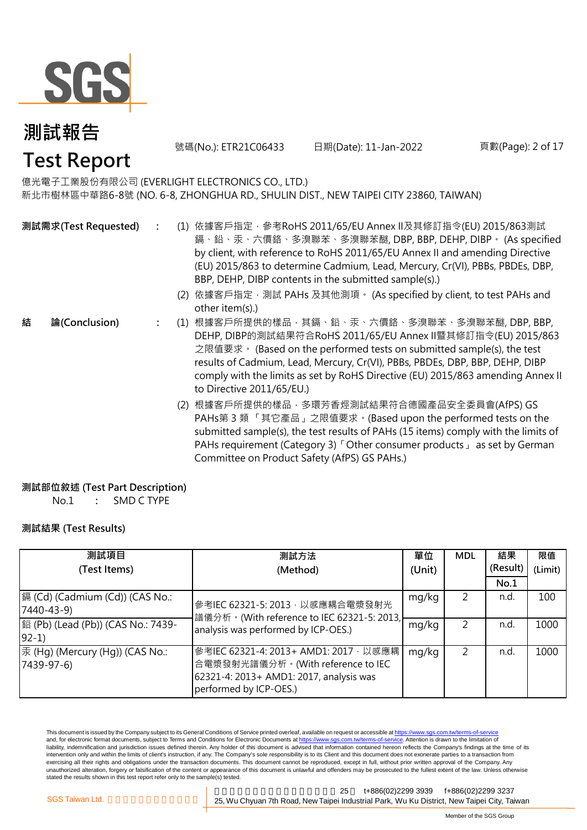

**結 論(Conclusion)**

號碼(No.): ETR21C06433 日期(Date): 11-Jan-2022

頁數(Page): 2 of 17

### 億光電子工業股份有限公司 (EVERLIGHT ELECTRONICS CO., LTD.)

新北市樹林區中華路6-8號 (NO. 6-8, ZHONGHUA RD., SHULIN DIST., NEW TAIPEI CITY 23860, TAIWAN)

- **:** (1) 依據客戶指定,參考RoHS 2011/65/EU Annex II及其修訂指令(EU) 2015/863測試 鎘、鉛、汞、六價鉻、多溴聯苯、多溴聯苯醚, DBP, BBP, DEHP, DIBP。 (As specified by client, with reference to RoHS 2011/65/EU Annex II and amending Directive (EU) 2015/863 to determine Cadmium, Lead, Mercury, Cr(VI), PBBs, PBDEs, DBP, BBP, DEHP, DIBP contents in the submitted sample(s).) **測試需求(Test Requested)**
	- (2) 依據客戶指定,測試 PAHs 及其他測項。 (As specified by client, to test PAHs and other item(s).)
	- **:** (1) 根據客戶所提供的樣品,其鎘、鉛、汞、六價鉻、多溴聯苯、多溴聯苯醚, DBP, BBP, DEHP, DIBP的測試結果符合RoHS 2011/65/EU Annex II暨其修訂指令(EU) 2015/863 之限值要求。 (Based on the performed tests on submitted sample(s), the test results of Cadmium, Lead, Mercury, Cr(VI), PBBs, PBDEs, DBP, BBP, DEHP, DIBP comply with the limits as set by RoHS Directive (EU) 2015/863 amending Annex II to Directive 2011/65/EU.)
		- (2) 根據客戶所提供的樣品,多環芳香烴測試結果符合德國產品安全委員會(AfPS) GS PAHs第 3 類 「其它產品」之限值要求。(Based upon the performed tests on the submitted sample(s), the test results of PAHs (15 items) comply with the limits of PAHs requirement (Category 3)「Other consumer products」 as set by German Committee on Product Safety (AfPS) GS PAHs.)

#### **測試部位敘述 (Test Part Description)**

No.1 **:** SMD C TYPE

#### **測試結果 (Test Results)**

| 測試項目                                                 | 測試方法                                                                                                                                             | 單位    | <b>MDL</b> | 結果       | 限值      |
|------------------------------------------------------|--------------------------------------------------------------------------------------------------------------------------------------------------|-------|------------|----------|---------|
| (Test Items)                                         | (Method)                                                                                                                                         |       |            | (Result) | (Limit) |
|                                                      |                                                                                                                                                  |       |            | No.1     |         |
| 鎘 (Cd) (Cadmium (Cd)) (CAS No.:<br>$[7440 - 43 - 9]$ | mg/kg<br>參考IEC 62321-5: 2013, 以感應耦合電漿發射光<br>譜儀分析。(With reference to IEC 62321-5: 2013,<br>mg/kg<br>analysis was performed by ICP-OES.)           |       |            | n.d.     | 100     |
| 鉛 (Pb) (Lead (Pb)) (CAS No.: 7439-<br>$ 92-1\rangle$ |                                                                                                                                                  |       |            | n.d.     | 1000    |
| 汞 (Hg) (Mercury (Hg)) (CAS No.:<br>$[7439-97-6]$     | 参考IEC 62321-4: 2013+ AMD1: 2017 · 以感應耦<br>合電漿發射光譜儀分析。(With reference to IEC<br>62321-4: 2013+ AMD1: 2017, analysis was<br>performed by ICP-OES.) | mg/kg |            | n.d.     | 1000    |

This document is issued by the Company subject to its General Conditions of Service printed overleaf, available on request or accessible at https://www.sgs.com.tw/terms-of-service and, for electronic format documents, subject to Terms and Conditions for Electronic Documents at https://www.sgs.com.tw/terms-of-service. Attention is drawn to the limitation of liability, indemnification and jurisdiction issues defined therein. Any holder of this document is advised that information contained hereon reflects the Company's findings at the time of its intervention only and within the limits of client's instruction, if any. The Company's sole responsibility is to its Client and this document does not exonerate parties to a transaction from exercising all their rights and obligations under the transaction documents. This document cannot be reproduced, except in full, without prior written approval of the Company. Any unauthorized alteration, forgery or falsification of the content or appearance of this document is unlawful and offenders may be prosecuted to the fullest extent of the law. Unless otherwise stated the results shown in this test report refer only to the sample(s) tested.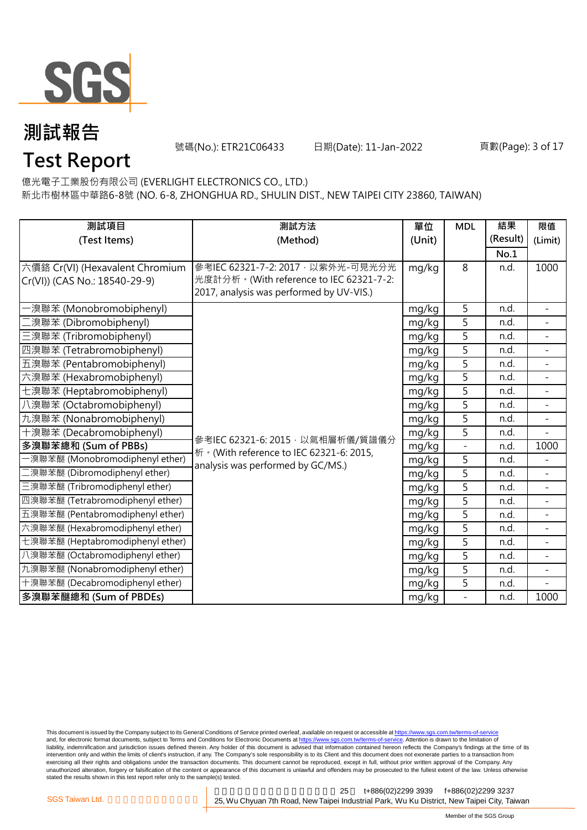

號碼(No.): ETR21C06433 日期(Date): 11-Jan-2022

#### 頁數(Page): 3 of 17

億光電子工業股份有限公司 (EVERLIGHT ELECTRONICS CO., LTD.)

新北市樹林區中華路6-8號 (NO. 6-8, ZHONGHUA RD., SHULIN DIST., NEW TAIPEI CITY 23860, TAIWAN)

| 測試項目                             | 測試方法                                      | 單位     | <b>MDL</b>        | 結果       | 限值                       |
|----------------------------------|-------------------------------------------|--------|-------------------|----------|--------------------------|
| (Test Items)                     | (Method)                                  | (Unit) |                   | (Result) | (Limit)                  |
|                                  |                                           |        |                   | No.1     |                          |
| 六價鉻 Cr(VI) (Hexavalent Chromium  | 參考IEC 62321-7-2: 2017, 以紫外光-可見光分光         | mg/kg  | 8                 | n.d.     | 1000                     |
| Cr(VI)) (CAS No.: 18540-29-9)    | 光度計分析。(With reference to IEC 62321-7-2:   |        |                   |          |                          |
|                                  | 2017, analysis was performed by UV-VIS.)  |        |                   |          |                          |
| ·溴聯苯 (Monobromobiphenyl)         |                                           | mg/kg  | 5                 | n.d.     |                          |
| 澳聯苯 (Dibromobiphenyl)            |                                           | mg/kg  | 5                 | n.d.     |                          |
| 三溴聯苯 (Tribromobiphenyl)          |                                           | mg/kg  | 5                 | n.d.     | $\overline{\phantom{a}}$ |
| 四溴聯苯 (Tetrabromobiphenyl)        |                                           | mg/kg  | 5                 | n.d.     |                          |
| 五溴聯苯 (Pentabromobiphenyl)        |                                           | mg/kg  | 5                 | n.d.     | ÷.                       |
| 六溴聯苯 (Hexabromobiphenyl)         |                                           | mg/kg  | 5                 | n.d.     |                          |
| 七溴聯苯 (Heptabromobiphenyl)        |                                           | mg/kg  | 5                 | n.d.     |                          |
| 八溴聯苯 (Octabromobiphenyl)         |                                           | mg/kg  | 5                 | n.d.     | $\blacksquare$           |
| 九溴聯苯 (Nonabromobiphenyl)         |                                           | mg/kg  | 5                 | n.d.     |                          |
| 十溴聯苯 (Decabromobiphenyl)         | mg/kg<br>參考IEC 62321-6: 2015, 以氣相層析儀/質譜儀分 |        | 5                 | n.d.     |                          |
| 多溴聯苯總和 (Sum of PBBs)             | 析 · (With reference to IEC 62321-6: 2015, | mg/kg  | $\qquad \qquad -$ | n.d.     | 1000                     |
| -溴聯苯醚 (Monobromodiphenyl ether)  | analysis was performed by GC/MS.)         | mg/kg  | 5                 | n.d.     |                          |
| 二溴聯苯醚 (Dibromodiphenyl ether)    |                                           | mg/kg  | 5                 | n.d.     | $\equiv$                 |
| 三溴聯苯醚 (Tribromodiphenyl ether)   |                                           | mg/kg  | $\overline{5}$    | n.d.     | $\equiv$                 |
| 四溴聯苯醚 (Tetrabromodiphenyl ether) |                                           | mg/kg  | $\overline{5}$    | n.d.     |                          |
| 五溴聯苯醚 (Pentabromodiphenyl ether) |                                           | mg/kg  | 5                 | n.d.     | $\overline{a}$           |
| 六溴聯苯醚 (Hexabromodiphenyl ether)  |                                           | mg/kg  | 5                 | n.d.     | $\blacksquare$           |
| 七溴聯苯醚 (Heptabromodiphenyl ether) |                                           | mg/kg  | 5                 | n.d.     |                          |
| 八溴聯苯醚 (Octabromodiphenyl ether)  |                                           |        | 5                 | n.d.     | $\overline{\phantom{a}}$ |
| 九溴聯苯醚 (Nonabromodiphenyl ether)  |                                           | mg/kg  | 5                 | n.d.     | $\overline{\phantom{a}}$ |
| 十溴聯苯醚 (Decabromodiphenyl ether)  |                                           | mg/kg  | 5                 | n.d.     |                          |
| 多溴聯苯醚總和 (Sum of PBDEs)           |                                           | mg/kg  | $\bar{ }$         | n.d.     | 1000                     |

This document is issued by the Company subject to its General Conditions of Service printed overleaf, available on request or accessible at <u>https://www.sgs.com.tw/terms-of-service</u><br>and, for electronic format documents, su liability, indemnification and jurisdiction issues defined therein. Any holder of this document is advised that information contained hereon reflects the Company's findings at the time of its intervention only and within the limits of client's instruction, if any. The Company's sole responsibility is to its Client and this document does not exonerate parties to a transaction from exercising all their rights and obligations under the transaction documents. This document cannot be reproduced, except in full, without prior written approval of the Company. Any<br>unauthorized alteration, forgery or falsif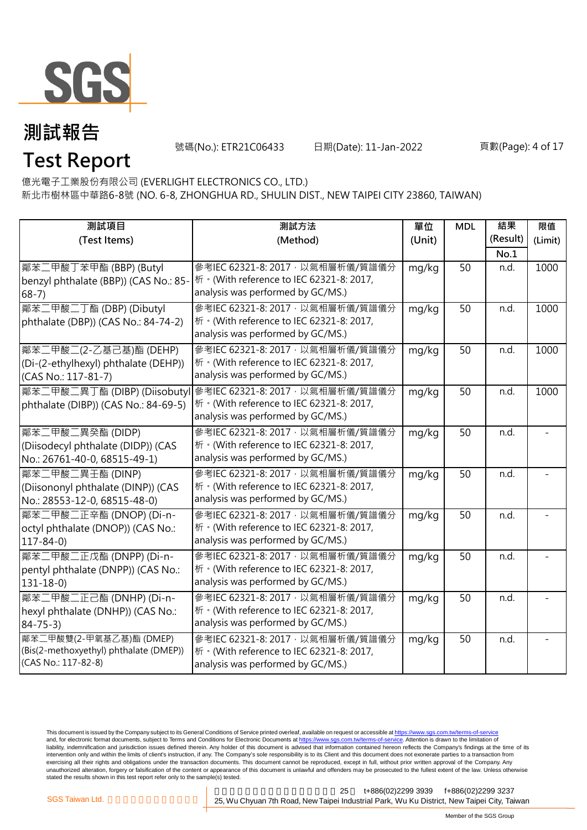

號碼(No.): ETR21C06433 日期(Date): 11-Jan-2022

#### 頁數(Page): 4 of 17

億光電子工業股份有限公司 (EVERLIGHT ELECTRONICS CO., LTD.)

新北市樹林區中華路6-8號 (NO. 6-8, ZHONGHUA RD., SHULIN DIST., NEW TAIPEI CITY 23860, TAIWAN)

| 測試項目<br>(Test Items)                                                                     | 測試方法<br>(Method)                                                                                                    | 單位<br>(Unit) | <b>MDL</b> | 結果<br>(Result)<br>No.1 | 限值<br>(Limit) |
|------------------------------------------------------------------------------------------|---------------------------------------------------------------------------------------------------------------------|--------------|------------|------------------------|---------------|
| 鄰苯二甲酸丁苯甲酯 (BBP) (Butyl<br>benzyl phthalate (BBP)) (CAS No.: 85-<br>$68 - 7$ )            | 參考IEC 62321-8: 2017, 以氣相層析儀/質譜儀分<br>桥 · (With reference to IEC 62321-8: 2017,<br>analysis was performed by GC/MS.)  | mg/kg        | 50         | n.d.                   | 1000          |
| 鄰苯二甲酸二丁酯 (DBP) (Dibutyl<br>phthalate (DBP)) (CAS No.: 84-74-2)                           | 參考IEC 62321-8: 2017 · 以氣相層析儀/質譜儀分<br>析 · (With reference to IEC 62321-8: 2017,<br>analysis was performed by GC/MS.) | mg/kg        | 50         | n.d.                   | 1000          |
| 鄰苯二甲酸二(2-乙基己基)酯 (DEHP)<br>(Di-(2-ethylhexyl) phthalate (DEHP))<br>(CAS No.: 117-81-7)    | 參考IEC 62321-8: 2017, 以氣相層析儀/質譜儀分<br>析 · (With reference to IEC 62321-8: 2017,<br>analysis was performed by GC/MS.)  | mg/kg        | 50         | n.d.                   | 1000          |
| 鄰苯二甲酸二異丁酯 (DIBP) (Diisobutyl<br>phthalate (DIBP)) (CAS No.: 84-69-5)                     | 參考IEC 62321-8: 2017, 以氣相層析儀/質譜儀分<br>析 · (With reference to IEC 62321-8: 2017,<br>analysis was performed by GC/MS.)  | mg/kg        | 50         | n.d.                   | 1000          |
| 鄰苯二甲酸二異癸酯 (DIDP)<br>(Diisodecyl phthalate (DIDP)) (CAS<br>No.: 26761-40-0, 68515-49-1)   | 參考IEC 62321-8: 2017, 以氣相層析儀/質譜儀分<br>析 · (With reference to IEC 62321-8: 2017,<br>analysis was performed by GC/MS.)  | mg/kg        | 50         | n.d.                   |               |
| 鄰苯二甲酸二異壬酯 (DINP)<br>(Diisononyl phthalate (DINP)) (CAS<br>No.: 28553-12-0, 68515-48-0)   | 參考IEC 62321-8: 2017, 以氣相層析儀/質譜儀分<br>析 · (With reference to IEC 62321-8: 2017,<br>analysis was performed by GC/MS.)  | mg/kg        | 50         | n.d.                   |               |
| 鄰苯二甲酸二正辛酯 (DNOP) (Di-n-<br>octyl phthalate (DNOP)) (CAS No.:<br>$117 - 84 - 0$           | 參考IEC 62321-8: 2017, 以氣相層析儀/質譜儀分<br>析 · (With reference to IEC 62321-8: 2017,<br>analysis was performed by GC/MS.)  | mg/kg        | 50         | n.d.                   |               |
| 鄰苯二甲酸二正戊酯 (DNPP) (Di-n-<br>pentyl phthalate (DNPP)) (CAS No.:<br>$131 - 18 - 0$          | 參考IEC 62321-8: 2017 · 以氣相層析儀/質譜儀分<br>析 · (With reference to IEC 62321-8: 2017,<br>analysis was performed by GC/MS.) | mg/kg        | 50         | n.d.                   |               |
| 鄰苯二甲酸二正己酯 (DNHP) (Di-n-<br>hexyl phthalate (DNHP)) (CAS No.:<br>$84 - 75 - 3$            | 參考IEC 62321-8: 2017, 以氣相層析儀/質譜儀分<br>析 · (With reference to IEC 62321-8: 2017,<br>analysis was performed by GC/MS.)  | mg/kg        | 50         | n.d.                   |               |
| 鄰苯二甲酸雙(2-甲氧基乙基)酯 (DMEP)<br>(Bis(2-methoxyethyl) phthalate (DMEP))<br>(CAS No.: 117-82-8) | 參考IEC 62321-8: 2017, 以氣相層析儀/質譜儀分<br>析 · (With reference to IEC 62321-8: 2017,<br>analysis was performed by GC/MS.)  | mg/kg        | 50         | n.d.                   |               |

This document is issued by the Company subject to its General Conditions of Service printed overleaf, available on request or accessible at <u>https://www.sgs.com.tw/terms-of-service</u><br>and, for electronic format documents, su liability, indemnification and jurisdiction issues defined therein. Any holder of this document is advised that information contained hereon reflects the Company's findings at the time of its intervention only and within the limits of client's instruction, if any. The Company's sole responsibility is to its Client and this document does not exonerate parties to a transaction from exercising all their rights and obligations under the transaction documents. This document cannot be reproduced, except in full, without prior written approval of the Company. Any<br>unauthorized alteration, forgery or falsif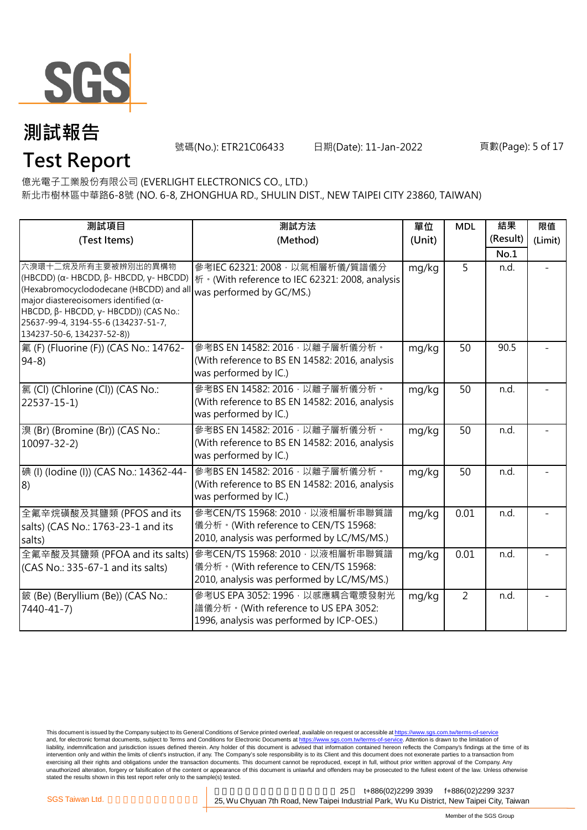

號碼(No.): ETR21C06433 日期(Date): 11-Jan-2022

頁數(Page): 5 of 17

億光電子工業股份有限公司 (EVERLIGHT ELECTRONICS CO., LTD.)

新北市樹林區中華路6-8號 (NO. 6-8, ZHONGHUA RD., SHULIN DIST., NEW TAIPEI CITY 23860, TAIWAN)

| 測試項目                                                                                                                                                                                                                                                                     | 測試方法                                                                                                                  |        | <b>MDL</b>     | 結果       | 限值      |
|--------------------------------------------------------------------------------------------------------------------------------------------------------------------------------------------------------------------------------------------------------------------------|-----------------------------------------------------------------------------------------------------------------------|--------|----------------|----------|---------|
| (Test Items)                                                                                                                                                                                                                                                             | (Method)                                                                                                              | (Unit) |                | (Result) | (Limit) |
|                                                                                                                                                                                                                                                                          |                                                                                                                       |        |                | No.1     |         |
| 六溴環十二烷及所有主要被辨別出的異構物<br>(HBCDD) (α- HBCDD, β- HBCDD, γ- HBCDD)<br>(Hexabromocyclododecane (HBCDD) and all<br>major diastereoisomers identified ( $\alpha$ -<br>HBCDD, β- HBCDD, γ- HBCDD)) (CAS No.:<br>25637-99-4, 3194-55-6 (134237-51-7,<br>134237-50-6, 134237-52-8)) | 參考IEC 62321: 2008, 以氣相層析儀/質譜儀分<br>桥 · (With reference to IEC 62321: 2008, analysis<br>was performed by GC/MS.)        | mg/kg  | 5              | n.d.     |         |
| 氟 (F) (Fluorine (F)) (CAS No.: 14762-<br>$94-8$                                                                                                                                                                                                                          | 參考BS EN 14582: 2016, 以離子層析儀分析。<br>(With reference to BS EN 14582: 2016, analysis<br>was performed by IC.)             | mg/kg  | 50             | 90.5     |         |
| [氯 (Cl) (Chlorine (Cl)) (CAS No.:<br>$22537 - 15 - 1$                                                                                                                                                                                                                    | 參考BS EN 14582: 2016, 以離子層析儀分析。<br>(With reference to BS EN 14582: 2016, analysis<br>was performed by IC.)             | mg/kg  | 50             | n.d.     |         |
| 溴 (Br) (Bromine (Br)) (CAS No.:<br>$10097 - 32 - 2$                                                                                                                                                                                                                      | 參考BS EN 14582: 2016, 以離子層析儀分析。<br>(With reference to BS EN 14582: 2016, analysis<br>was performed by IC.)             | mg/kg  | 50             | n.d.     |         |
| 碘 (I) (lodine (I)) (CAS No.: 14362-44-<br> 8)                                                                                                                                                                                                                            | 參考BS EN 14582: 2016, 以離子層析儀分析。<br>(With reference to BS EN 14582: 2016, analysis<br>was performed by IC.)             | mg/kg  | 50             | n.d.     |         |
| 全氟辛烷磺酸及其鹽類 (PFOS and its<br>salts) (CAS No.: 1763-23-1 and its<br>salts)                                                                                                                                                                                                 | 參考CEN/TS 15968: 2010, 以液相層析串聯質譜<br>儀分析。(With reference to CEN/TS 15968:<br>2010, analysis was performed by LC/MS/MS.) | mg/kg  | 0.01           | n.d.     |         |
| 全氟辛酸及其鹽類 (PFOA and its salts)<br>(CAS No.: 335-67-1 and its salts)                                                                                                                                                                                                       | 參考CEN/TS 15968: 2010, 以液相層析串聯質譜<br>儀分析。(With reference to CEN/TS 15968:<br>2010, analysis was performed by LC/MS/MS.) | mg/kg  | 0.01           | n.d.     |         |
| 鈹 (Be) (Beryllium (Be)) (CAS No.:<br>7440-41-7)                                                                                                                                                                                                                          | 參考US EPA 3052: 1996, 以感應耦合電漿發射光<br>譜儀分析。(With reference to US EPA 3052:<br>1996, analysis was performed by ICP-OES.)  | mg/kg  | $\overline{2}$ | n.d.     |         |

This document is issued by the Company subject to its General Conditions of Service printed overleaf, available on request or accessible at <u>https://www.sgs.com.tw/terms-of-service</u><br>and, for electronic format documents, su liability, indemnification and jurisdiction issues defined therein. Any holder of this document is advised that information contained hereon reflects the Company's findings at the time of its intervention only and within the limits of client's instruction, if any. The Company's sole responsibility is to its Client and this document does not exonerate parties to a transaction from exercising all their rights and obligations under the transaction documents. This document cannot be reproduced, except in full, without prior written approval of the Company. Any<br>unauthorized alteration, forgery or falsif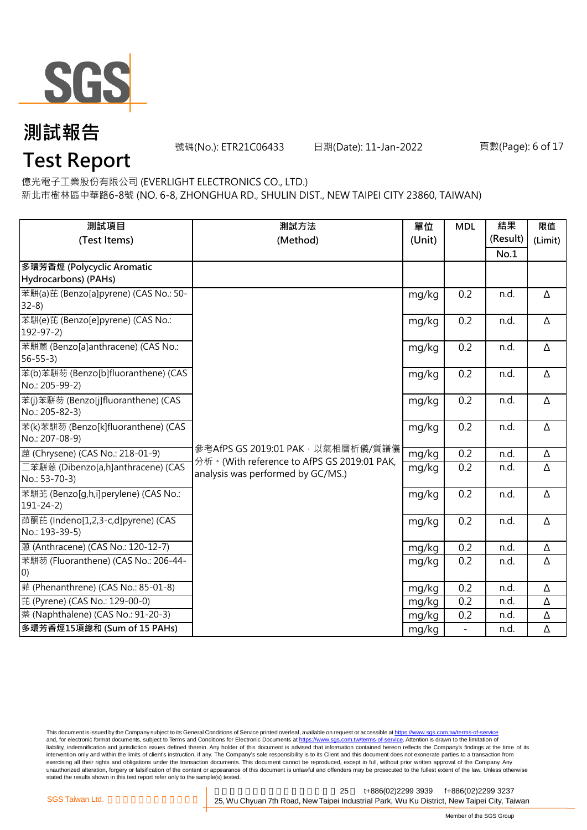

# **測試報告**

號碼(No.): ETR21C06433 日期(Date): 11-Jan-2022

#### 頁數(Page): 6 of 17

# **Test Report**

億光電子工業股份有限公司 (EVERLIGHT ELECTRONICS CO., LTD.) 新北市樹林區中華路6-8號 (NO. 6-8, ZHONGHUA RD., SHULIN DIST., NEW TAIPEI CITY 23860, TAIWAN)

| 測試項目<br>(Test Items)                                    | 測試方法<br>(Method)                                                                 | 單位<br>(Unit) | <b>MDL</b>       | 結果<br>(Result) | 限值<br>(Limit) |
|---------------------------------------------------------|----------------------------------------------------------------------------------|--------------|------------------|----------------|---------------|
|                                                         |                                                                                  |              |                  | No.1           |               |
| 多環芳香烴 (Polycyclic Aromatic<br>Hydrocarbons) (PAHs)      |                                                                                  |              |                  |                |               |
| 苯駢(a)芘 (Benzo[a]pyrene) (CAS No.: 50-<br>$32-8$         |                                                                                  | mg/kg        | 0.2              | n.d.           | Δ             |
| 苯駢(e)芘 (Benzo[e]pyrene) (CAS No.:<br>$192 - 97 - 2$     |                                                                                  | mg/kg        | 0.2              | n.d.           | Δ             |
| 苯駢蒽 (Benzo[a]anthracene) (CAS No.:<br>$56 - 55 - 3$     |                                                                                  | mg/kg        | 0.2              | n.d.           | Δ             |
| 苯(b)苯駢芴 (Benzo[b]fluoranthene) (CAS<br>No.: 205-99-2)   |                                                                                  | mg/kg        | 0.2              | n.d.           | Δ             |
| 苯(j)苯駢芴 (Benzo[j]fluoranthene) (CAS<br>No.: 205-82-3)   |                                                                                  | mg/kg        | 0.2              | n.d.           | $\Delta$      |
| 苯(k)苯駢芴 (Benzo[k]fluoranthene) (CAS<br>No.: 207-08-9)   |                                                                                  | mg/kg        | 0.2              | n.d.           | $\Delta$      |
| 蔰 (Chrysene) (CAS No.: 218-01-9)                        | 參考AfPS GS 2019:01 PAK,以氣相層析儀/質譜儀<br>分析 · (With reference to AfPS GS 2019:01 PAK, | mg/kg        | 0.2              | n.d.           | Δ             |
| 二苯駢蒽 (Dibenzo[a,h]anthracene) (CAS<br>No.: 53-70-3)     | analysis was performed by GC/MS.)                                                | mg/kg        | 0.2              | n.d.           | Δ             |
| 苯駢苝 (Benzo[g,h,i]perylene) (CAS No.:<br>$191 - 24 - 2)$ |                                                                                  | mg/kg        | 0.2              | n.d.           | Δ             |
| 茚酮芘 (Indeno[1,2,3-c,d]pyrene) (CAS<br>No.: 193-39-5)    |                                                                                  | mg/kg        | 0.2              | n.d.           | Δ             |
| 蒽 (Anthracene) (CAS No.: 120-12-7)                      |                                                                                  | mg/kg        | $\overline{0.2}$ | n.d.           | Δ             |
| 苯駢芴 (Fluoranthene) (CAS No.: 206-44-<br>$\vert 0)$      |                                                                                  | mg/kg        | 0.2              | n.d.           | Δ             |
| 菲 (Phenanthrene) (CAS No.: 85-01-8)                     |                                                                                  | mg/kg        | 0.2              | n.d.           | $\Delta$      |
| 芘 (Pyrene) (CAS No.: 129-00-0)                          |                                                                                  | mg/kg        | 0.2              | n.d.           | Δ             |
| 萘 (Naphthalene) (CAS No.: 91-20-3)                      |                                                                                  | mg/kg        | 0.2              | n.d.           | Δ             |
| 多環芳香烴15項總和 (Sum of 15 PAHs)                             |                                                                                  | mg/kg        |                  | n.d.           | Δ             |

This document is issued by the Company subject to its General Conditions of Service printed overleaf, available on request or accessible at <u>https://www.sgs.com.tw/terms-of-service</u><br>and, for electronic format documents, su liability, indemnification and jurisdiction issues defined therein. Any holder of this document is advised that information contained hereon reflects the Company's findings at the time of its intervention only and within the limits of client's instruction, if any. The Company's sole responsibility is to its Client and this document does not exonerate parties to a transaction from exercising all their rights and obligations under the transaction documents. This document cannot be reproduced, except in full, without prior written approval of the Company. Any<br>unauthorized alteration, forgery or falsif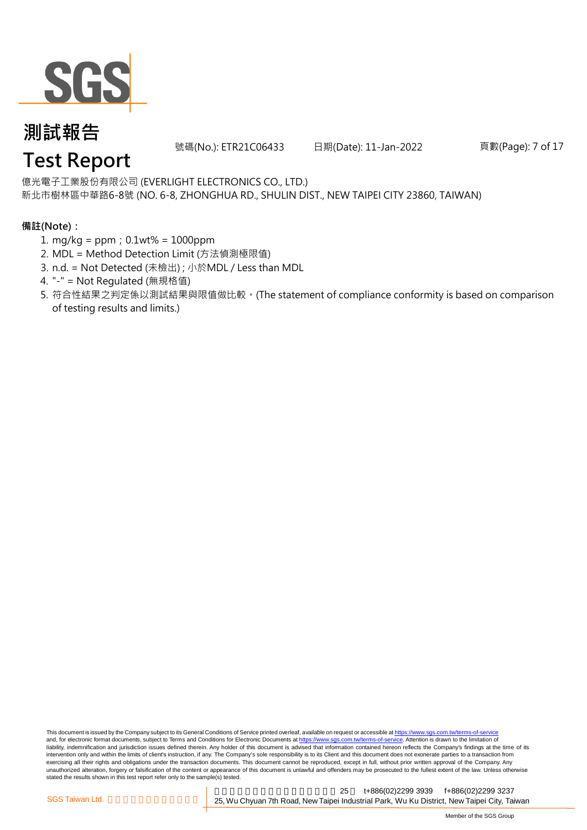

號碼(No.): ETR21C06433 日期(Date): 11-Jan-2022

頁數(Page): 7 of 17

### 億光電子工業股份有限公司 (EVERLIGHT ELECTRONICS CO., LTD.)

新北市樹林區中華路6-8號 (NO. 6-8, ZHONGHUA RD., SHULIN DIST., NEW TAIPEI CITY 23860, TAIWAN)

#### **備註(Note):**

- 1. mg/kg = ppm;0.1wt% = 1000ppm
- 2. MDL = Method Detection Limit (方法偵測極限值)
- 3. n.d. = Not Detected (未檢出) ; 小於MDL / Less than MDL
- 4. "-" = Not Regulated (無規格值)
- 5. 符合性結果之判定係以測試結果與限值做比較。(The statement of compliance conformity is based on comparison of testing results and limits.)

This document is issued by the Company subject to its General Conditions of Service printed overleaf, available on request or accessible at https://www.sgs.com.tw/terms-of-service and, for electronic format documents, subject to Terms and Conditions for Electronic Documents at https://www.sgs.com.tw/terms-of-service. Attention is drawn to the limitation of liability, indemnification and jurisdiction issues defined therein. Any holder of this document is advised that information contained hereon reflects the Company's findings at the time of its intervention only and within the limits of client's instruction, if any. The Company's sole responsibility is to its Client and this document does not exonerate parties to a transaction from exercising all their rights and obligations under the transaction documents. This document cannot be reproduced, except in full, without prior written approval of the Company. Any<br>unauthorized alteration, forgery or falsif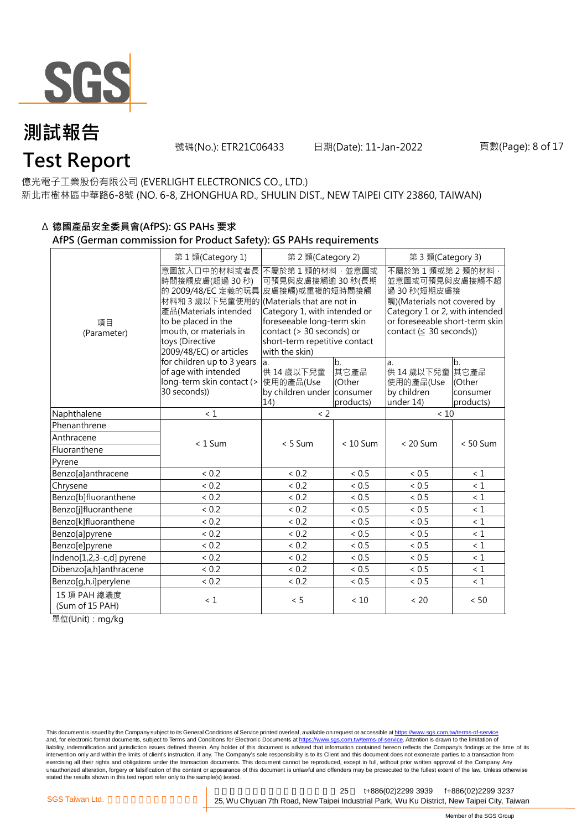

號碼(No.): ETR21C06433 日期(Date): 11-Jan-2022

億光電子工業股份有限公司 (EVERLIGHT ELECTRONICS CO., LTD.)

新北市樹林區中華路6-8號 (NO. 6-8, ZHONGHUA RD., SHULIN DIST., NEW TAIPEI CITY 23860, TAIWAN)

#### Δ **德國產品安全委員會(AfPS): GS PAHs 要求 AfPS (German commission for Product Safety): GS PAHs requirements**

|                                 | 第1類(Category 1)                                                                                                                                                                                                           | 第 2 類(Category 2)                                                                                                                                                                                   |                                   | 第 3 類(Category 3)                                                                                                                                                                    |                                         |  |
|---------------------------------|---------------------------------------------------------------------------------------------------------------------------------------------------------------------------------------------------------------------------|-----------------------------------------------------------------------------------------------------------------------------------------------------------------------------------------------------|-----------------------------------|--------------------------------------------------------------------------------------------------------------------------------------------------------------------------------------|-----------------------------------------|--|
| 項目<br>(Parameter)               | 意圖放入口中的材料或者長<br>時間接觸皮膚(超過 30秒)<br>的 2009/48/EC 定義的玩具<br>材料和 3 歲以下兒童使用的 (Materials that are not in<br>產品(Materials intended<br>to be placed in the<br>mouth, or materials in<br>toys (Directive<br>2009/48/EC) or articles | 不屬於第1類的材料,並意圖或<br>可預見與皮膚接觸逾 30 秒(長期<br>皮膚接觸)或重複的短時間接觸<br>Category 1, with intended or<br>foreseeable long-term skin<br>contact (> 30 seconds) or<br>short-term repetitive contact<br>with the skin) |                                   | 不屬於第1類或第2類的材料,<br>並意圖或可預見與皮膚接觸不超<br>過 30 秒(短期皮膚接<br>觸)(Materials not covered by<br>Category 1 or 2, with intended<br>or foreseeable short-term skin<br>contact ( $\leq$ 30 seconds)) |                                         |  |
|                                 | for children up to 3 years<br>of age with intended<br>long-term skin contact (><br>30 seconds))                                                                                                                           | a.<br>供 14 歳以下兒童<br>使用的產品(Use<br>by children under consumer<br>14)                                                                                                                                  | b.<br>其它產品<br>(Other<br>products) | a.<br>供 14 歳以下兒童 其它產品<br>使用的產品(Use<br>by children<br>under 14)                                                                                                                       | lb.<br>Cother<br>Iconsumer<br>products) |  |
| Naphthalene                     | < 1                                                                                                                                                                                                                       | $<$ 2                                                                                                                                                                                               |                                   | < 10                                                                                                                                                                                 |                                         |  |
| Phenanthrene                    |                                                                                                                                                                                                                           |                                                                                                                                                                                                     |                                   |                                                                                                                                                                                      |                                         |  |
| Anthracene                      | $< 1$ Sum                                                                                                                                                                                                                 | $< 5$ Sum                                                                                                                                                                                           | $< 10$ Sum                        | $< 20$ Sum                                                                                                                                                                           | $< 50$ Sum                              |  |
| Fluoranthene                    |                                                                                                                                                                                                                           |                                                                                                                                                                                                     |                                   |                                                                                                                                                                                      |                                         |  |
| Pyrene                          |                                                                                                                                                                                                                           |                                                                                                                                                                                                     |                                   |                                                                                                                                                                                      |                                         |  |
| Benzo[a]anthracene              | < 0.2                                                                                                                                                                                                                     | < 0.2                                                                                                                                                                                               | < 0.5                             | < 0.5                                                                                                                                                                                | $\leq 1$                                |  |
| Chrysene                        | < 0.2                                                                                                                                                                                                                     | < 0.2                                                                                                                                                                                               | < 0.5                             | < 0.5                                                                                                                                                                                | $\leq 1$                                |  |
| Benzo[b]fluoranthene            | < 0.2                                                                                                                                                                                                                     | < 0.2                                                                                                                                                                                               | < 0.5                             | < 0.5                                                                                                                                                                                | $\leq 1$                                |  |
| Benzo[j]fluoranthene            | < 0.2                                                                                                                                                                                                                     | < 0.2                                                                                                                                                                                               | < 0.5                             | < 0.5                                                                                                                                                                                | $\leq 1$                                |  |
| Benzo[k]fluoranthene            | < 0.2                                                                                                                                                                                                                     | < 0.2                                                                                                                                                                                               | ${}< 0.5$                         | < 0.5                                                                                                                                                                                | < 1                                     |  |
| Benzo[a]pyrene                  | < 0.2                                                                                                                                                                                                                     | < 0.2                                                                                                                                                                                               | < 0.5                             | < 0.5                                                                                                                                                                                | $\leq 1$                                |  |
| Benzo[e]pyrene                  | < 0.2                                                                                                                                                                                                                     | < 0.2                                                                                                                                                                                               | < 0.5                             | < 0.5                                                                                                                                                                                | $\leq 1$                                |  |
| Indeno[1,2,3-c,d] pyrene        | < 0.2                                                                                                                                                                                                                     | < 0.2                                                                                                                                                                                               | < 0.5                             | < 0.5                                                                                                                                                                                | $\leq 1$                                |  |
| Dibenzo[a,h]anthracene          | < 0.2                                                                                                                                                                                                                     | < 0.2                                                                                                                                                                                               | < 0.5                             | < 0.5                                                                                                                                                                                | $\leq 1$                                |  |
| Benzo[g,h,i]perylene            | < 0.2                                                                                                                                                                                                                     | < 0.2                                                                                                                                                                                               | < 0.5                             | < 0.5                                                                                                                                                                                | $\leq 1$                                |  |
| 15 項 PAH 總濃度<br>(Sum of 15 PAH) | < 1                                                                                                                                                                                                                       | < 5                                                                                                                                                                                                 | < 10                              | < 20                                                                                                                                                                                 | < 50                                    |  |

單位(Unit):mg/kg

This document is issued by the Company subject to its General Conditions of Service printed overleaf, available on request or accessible at https://www.sgs.com.tw/terms-of-service and, for electronic format documents, subject to Terms and Conditions for Electronic Documents at https://www.sgs.com.tw/terms-of-service. Attention is drawn to the limitation of liability, indemnification and jurisdiction issues defined therein. Any holder of this document is advised that information contained hereon reflects the Company's findings at the time of its intervention only and within the limits of client's instruction, if any. The Company's sole responsibility is to its Client and this document does not exonerate parties to a transaction from exercising all their rights and obligations under the transaction documents. This document cannot be reproduced, except in full, without prior written approval of the Company. Any<br>unauthorized alteration, forgery or falsif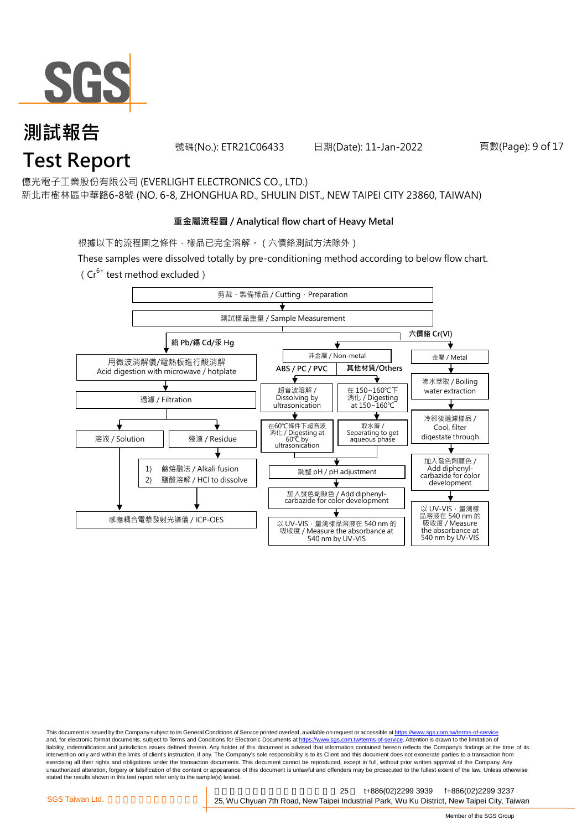

號碼(No.): ETR21C06433 日期(Date): 11-Jan-2022

頁數(Page): 9 of 17

億光電子工業股份有限公司 (EVERLIGHT ELECTRONICS CO., LTD.)

新北市樹林區中華路6-8號 (NO. 6-8, ZHONGHUA RD., SHULIN DIST., NEW TAIPEI CITY 23860, TAIWAN)

#### **重金屬流程圖 / Analytical flow chart of Heavy Metal**

根據以下的流程圖之條件,樣品已完全溶解。(六價鉻測試方法除外)

These samples were dissolved totally by pre-conditioning method according to below flow chart.

( $Cr^{6+}$  test method excluded)



This document is issued by the Company subject to its General Conditions of Service printed overleaf, available on request or accessible at https://www.sgs.com.tw/terms-of-service and, for electronic format documents, subject to Terms and Conditions for Electronic Documents at https://www.sgs.com.tw/terms-of-service. Attention is drawn to the limitation of liability, indemnification and jurisdiction issues defined therein. Any holder of this document is advised that information contained hereon reflects the Company's findings at the time of its intervention only and within the limits of client's instruction, if any. The Company's sole responsibility is to its Client and this document does not exonerate parties to a transaction from exercising all their rights and obligations under the transaction documents. This document cannot be reproduced, except in full, without prior written approval of the Company. Any<br>unauthorized alteration, forgery or falsif stated the results shown in this test report refer only to the sample(s) tested.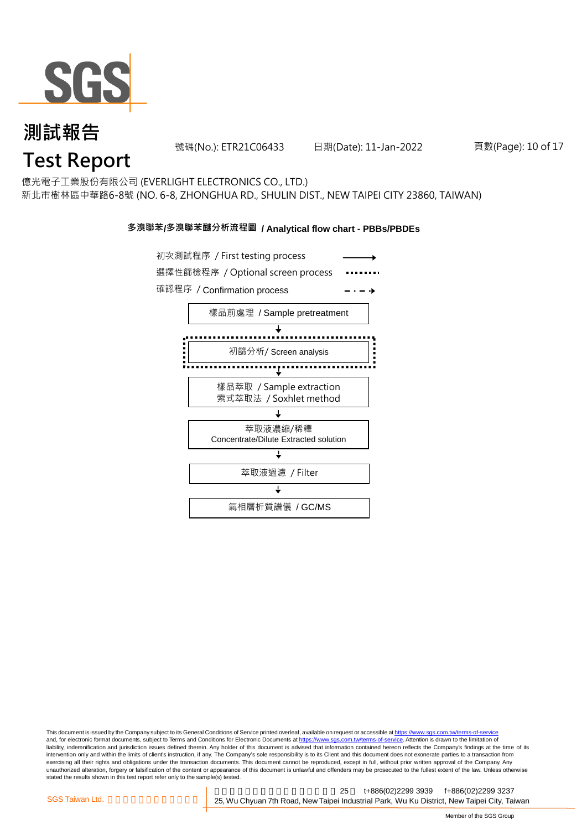

號碼(No.): ETR21C06433 日期(Date): 11-Jan-2022

頁數(Page): 10 of 17

億光電子工業股份有限公司 (EVERLIGHT ELECTRONICS CO., LTD.)

新北市樹林區中華路6-8號 (NO. 6-8, ZHONGHUA RD., SHULIN DIST., NEW TAIPEI CITY 23860, TAIWAN)

#### **多溴聯苯/多溴聯苯醚分析流程圖 / Analytical flow chart - PBBs/PBDEs**



This document is issued by the Company subject to its General Conditions of Service printed overleaf, available on request or accessible at https://www.sgs.com.tw/terms-of-service and, for electronic format documents, subject to Terms and Conditions for Electronic Documents at https://www.sgs.com.tw/terms-of-service. Attention is drawn to the limitation of liability, indemnification and jurisdiction issues defined therein. Any holder of this document is advised that information contained hereon reflects the Company's findings at the time of its intervention only and within the limits of client's instruction, if any. The Company's sole responsibility is to its Client and this document does not exonerate parties to a transaction from exercising all their rights and obligations under the transaction documents. This document cannot be reproduced, except in full, without prior written approval of the Company. Any<br>unauthorized alteration, forgery or falsif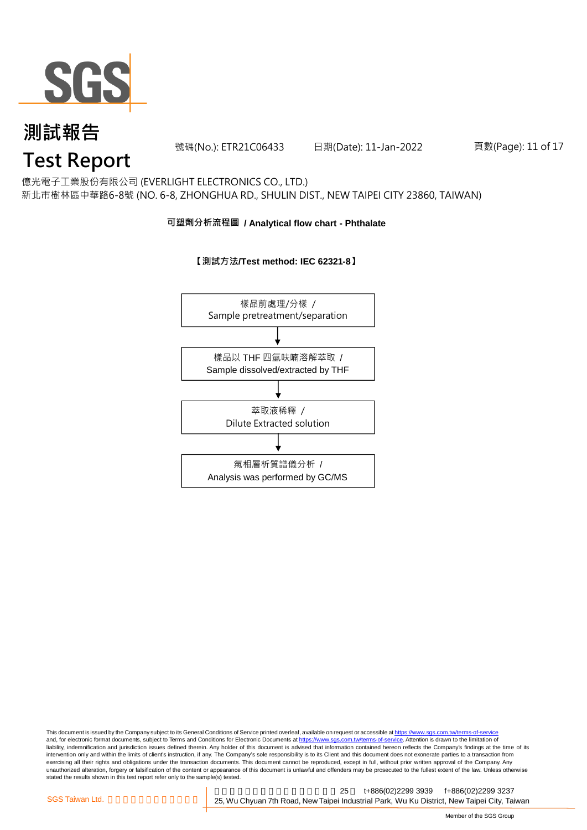

號碼(No.): ETR21C06433 日期(Date): 11-Jan-2022

頁數(Page): 11 of 17

### 億光電子工業股份有限公司 (EVERLIGHT ELECTRONICS CO., LTD.)

新北市樹林區中華路6-8號 (NO. 6-8, ZHONGHUA RD., SHULIN DIST., NEW TAIPEI CITY 23860, TAIWAN)

#### **可塑劑分析流程圖 / Analytical flow chart - Phthalate**



**【測試方法/Test method: IEC 62321-8】**

This document is issued by the Company subject to its General Conditions of Service printed overleaf, available on request or accessible at <u>https://www.sgs.com.tw/terms-of-service</u><br>and, for electronic format documents, su liability, indemnification and jurisdiction issues defined therein. Any holder of this document is advised that information contained hereon reflects the Company's findings at the time of its intervention only and within the limits of client's instruction, if any. The Company's sole responsibility is to its Client and this document does not exonerate parties to a transaction from exercising all their rights and obligations under the transaction documents. This document cannot be reproduced, except in full, without prior written approval of the Company. Any<br>unauthorized alteration, forgery or falsif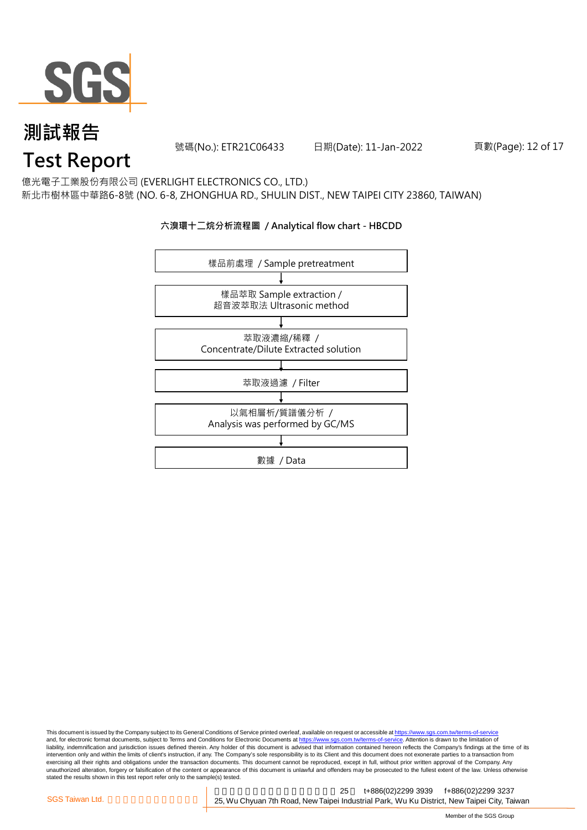

號碼(No.): ETR21C06433 日期(Date): 11-Jan-2022

#### 頁數(Page): 12 of 17

億光電子工業股份有限公司 (EVERLIGHT ELECTRONICS CO., LTD.)

新北市樹林區中華路6-8號 (NO. 6-8, ZHONGHUA RD., SHULIN DIST., NEW TAIPEI CITY 23860, TAIWAN)

### 數據 / Data 樣品萃取 Sample extraction / 超音波萃取法 Ultrasonic method 以氣相層析/質譜儀分析 / Analysis was performed by GC/MS  $\overline{\phantom{a}}$ 萃取液過濾 / Filter 樣品前處理 / Sample pretreatment 萃取液濃縮/稀釋 / Concentrate/Dilute Extracted solution

#### **六溴環十二烷分析流程圖 / Analytical flow chart - HBCDD**

This document is issued by the Company subject to its General Conditions of Service printed overleaf, available on request or accessible at <u>https://www.sgs.com.tw/terms-of-service</u><br>and, for electronic format documents, su liability, indemnification and jurisdiction issues defined therein. Any holder of this document is advised that information contained hereon reflects the Company's findings at the time of its intervention only and within the limits of client's instruction, if any. The Company's sole responsibility is to its Client and this document does not exonerate parties to a transaction from exercising all their rights and obligations under the transaction documents. This document cannot be reproduced, except in full, without prior written approval of the Company. Any<br>unauthorized alteration, forgery or falsif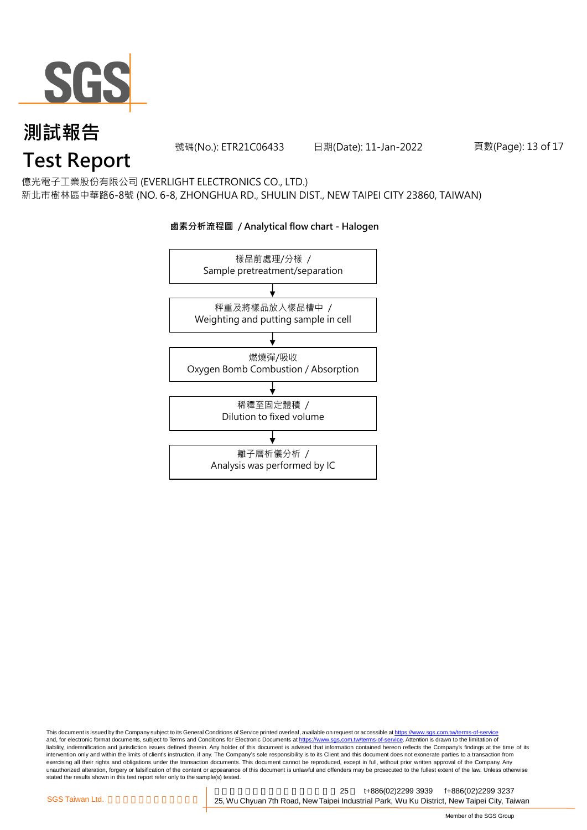

號碼(No.): ETR21C06433 日期(Date): 11-Jan-2022

頁數(Page): 13 of 17

#### 億光電子工業股份有限公司 (EVERLIGHT ELECTRONICS CO., LTD.)

新北市樹林區中華路6-8號 (NO. 6-8, ZHONGHUA RD., SHULIN DIST., NEW TAIPEI CITY 23860, TAIWAN)

### 樣品前處理/分樣 / Sample pretreatment/separation 秤重及將樣品放入樣品槽中 / Weighting and putting sample in cell 燃燒彈/吸收 Oxygen Bomb Combustion / Absorption 離子層析儀分析 / Analysis was performed by IC 稀釋至固定體積 / Dilution to fixed volume

#### **鹵素分析流程圖 / Analytical flow chart - Halogen**

This document is issued by the Company subject to its General Conditions of Service printed overleaf, available on request or accessible at <u>https://www.sgs.com.tw/terms-of-service</u><br>and, for electronic format documents, su liability, indemnification and jurisdiction issues defined therein. Any holder of this document is advised that information contained hereon reflects the Company's findings at the time of its intervention only and within the limits of client's instruction, if any. The Company's sole responsibility is to its Client and this document does not exonerate parties to a transaction from exercising all their rights and obligations under the transaction documents. This document cannot be reproduced, except in full, without prior written approval of the Company. Any<br>unauthorized alteration, forgery or falsif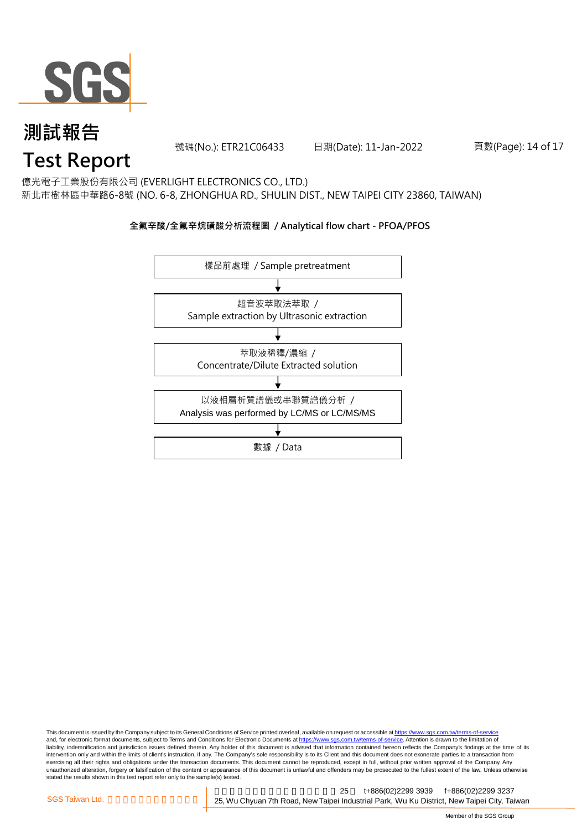

號碼(No.): ETR21C06433 日期(Date): 11-Jan-2022

#### 頁數(Page): 14 of 17

億光電子工業股份有限公司 (EVERLIGHT ELECTRONICS CO., LTD.)

新北市樹林區中華路6-8號 (NO. 6-8, ZHONGHUA RD., SHULIN DIST., NEW TAIPEI CITY 23860, TAIWAN)

#### **全氟辛酸/全氟辛烷磺酸分析流程圖 / Analytical flow chart - PFOA/PFOS**



This document is issued by the Company subject to its General Conditions of Service printed overleaf, available on request or accessible at <u>https://www.sgs.com.tw/terms-of-service</u><br>and, for electronic format documents, su liability, indemnification and jurisdiction issues defined therein. Any holder of this document is advised that information contained hereon reflects the Company's findings at the time of its intervention only and within the limits of client's instruction, if any. The Company's sole responsibility is to its Client and this document does not exonerate parties to a transaction from exercising all their rights and obligations under the transaction documents. This document cannot be reproduced, except in full, without prior written approval of the Company. Any<br>unauthorized alteration, forgery or falsif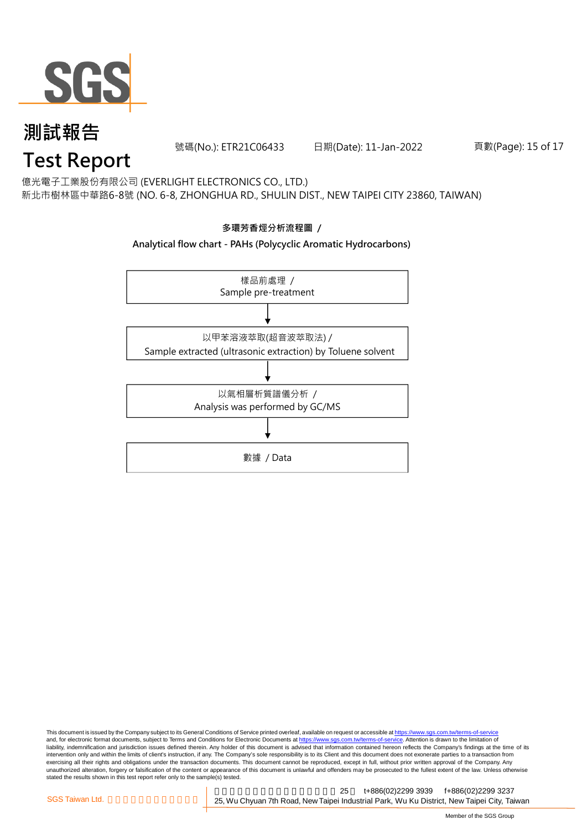

號碼(No.): ETR21C06433 日期(Date): 11-Jan-2022

#### 頁數(Page): 15 of 17

億光電子工業股份有限公司 (EVERLIGHT ELECTRONICS CO., LTD.)

新北市樹林區中華路6-8號 (NO. 6-8, ZHONGHUA RD., SHULIN DIST., NEW TAIPEI CITY 23860, TAIWAN)

# **多環芳香烴分析流程圖 / Analytical flow chart - PAHs (Polycyclic Aromatic Hydrocarbons)** 樣品前處理 / Sample pre-treatment 以甲苯溶液萃取(超音波萃取法) / Sample extracted (ultrasonic extraction) by Toluene solvent 以氣相層析質譜儀分析 / Analysis was performed by GC/MS 數據 / Data

This document is issued by the Company subject to its General Conditions of Service printed overleaf, available on request or accessible at <u>https://www.sgs.com.tw/terms-of-service</u><br>and, for electronic format documents, su liability, indemnification and jurisdiction issues defined therein. Any holder of this document is advised that information contained hereon reflects the Company's findings at the time of its intervention only and within the limits of client's instruction, if any. The Company's sole responsibility is to its Client and this document does not exonerate parties to a transaction from exercising all their rights and obligations under the transaction documents. This document cannot be reproduced, except in full, without prior written approval of the Company. Any<br>unauthorized alteration, forgery or falsif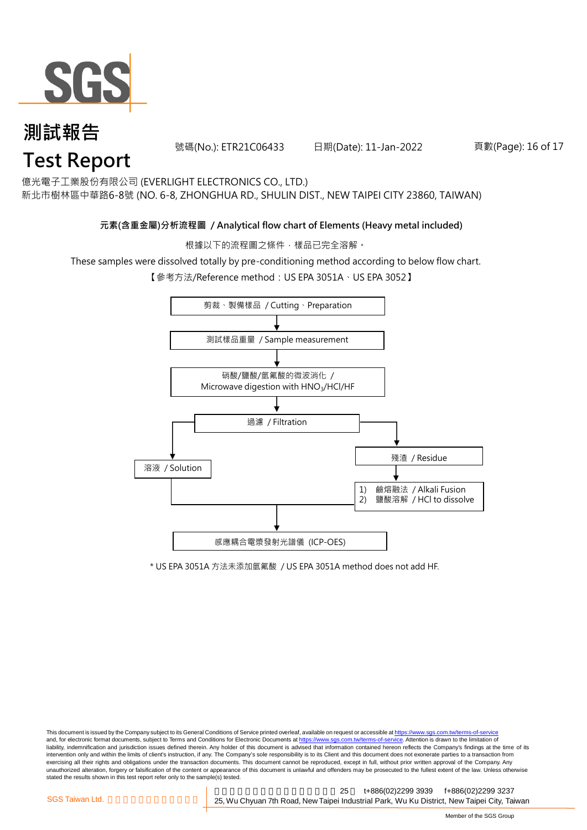

號碼(No.): ETR21C06433 日期(Date): 11-Jan-2022

頁數(Page): 16 of 17

億光電子工業股份有限公司 (EVERLIGHT ELECTRONICS CO., LTD.)

新北市樹林區中華路6-8號 (NO. 6-8, ZHONGHUA RD., SHULIN DIST., NEW TAIPEI CITY 23860, TAIWAN)

#### **元素(含重金屬)分析流程圖 / Analytical flow chart of Elements (Heavy metal included)**

根據以下的流程圖之條件,樣品已完全溶解。

These samples were dissolved totally by pre-conditioning method according to below flow chart.

【參考方法/Reference method: US EPA 3051A、US EPA 3052】



\* US EPA 3051A 方法未添加氫氟酸 / US EPA 3051A method does not add HF.

This document is issued by the Company subject to its General Conditions of Service printed overleaf, available on request or accessible at https://www.sgs.com.tw/terms-of-service and, for electronic format documents, subject to Terms and Conditions for Electronic Documents at https://www.sgs.com.tw/terms-of-service. Attention is drawn to the limitation of liability, indemnification and jurisdiction issues defined therein. Any holder of this document is advised that information contained hereon reflects the Company's findings at the time of its intervention only and within the limits of client's instruction, if any. The Company's sole responsibility is to its Client and this document does not exonerate parties to a transaction from exercising all their rights and obligations under the transaction documents. This document cannot be reproduced, except in full, without prior written approval of the Company. Any<br>unauthorized alteration, forgery or falsif stated the results shown in this test report refer only to the sample(s) tested.